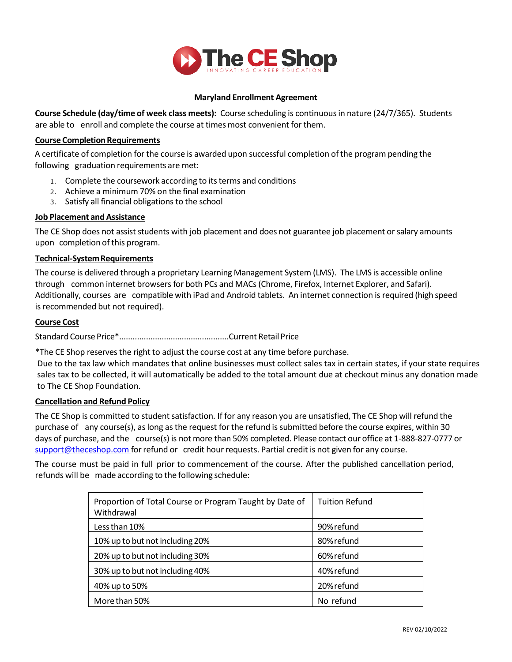

### **Maryland Enrollment Agreement**

**Course Schedule (day/time of week class meets):** Course scheduling is continuousin nature (24/7/365). Students are able to enroll and complete the course at times most convenient for them.

### **Course Completion Requirements**

A certificate of completion for the course is awarded upon successful completion ofthe program pending the following graduation requirements are met:

- 1. Complete the coursework according to its terms and conditions
- 2. Achieve a minimum 70% on the final examination
- 3. Satisfy all financial obligationsto the school

# **Job Placement and Assistance**

The CE Shop does not assist students with job placement and does not guarantee job placement or salary amounts upon completion of this program.

## **Technical-System Requirements**

The course is delivered through a proprietary Learning Management System (LMS). The LMS is accessible online through common internet browsers for both PCs and MACs(Chrome, Firefox, Internet Explorer, and Safari). Additionally, courses are compatible with iPad and Android tablets. An internet connection is required (high speed is recommended but not required).

## **Course Cost**

Standard Course Price\*.................................................Current Retail Price

\*The CE Shop reservesthe right to adjust the course cost at any time before purchase.

Due to the tax law which mandates that online businesses must collect sales tax in certain states, if your state requires sales tax to be collected, it will automatically be added to the total amount due at checkout minus any donation made to The CE Shop Foundation.

# **Cancellation and Refund Policy**

The CE Shop is committed to student satisfaction. If for any reason you are unsatisfied, The CE Shop will refund the purchase of any course(s), as long as the request for the refund is submitted before the course expires, within 30 days of purchase, and the course(s) is not more than 50% completed. Please contact our office at 1-888-827-0777 or [support@theceshop.com](mailto:support@theceshop.com) for refund or credit hour requests. Partial credit is not given for any course.

The course must be paid in full prior to commencement of the course. After the published cancellation period, refunds will be made according to the following schedule:

| Proportion of Total Course or Program Taught by Date of<br>Withdrawal | <b>Tuition Refund</b> |
|-----------------------------------------------------------------------|-----------------------|
| Less than 10%                                                         | 90%refund             |
| 10% up to but not including 20%                                       | 80%refund             |
| 20% up to but not including 30%                                       | 60%refund             |
| 30% up to but not including 40%                                       | 40% refund            |
| 40% up to 50%                                                         | 20% refund            |
| More than 50%                                                         | No refund             |